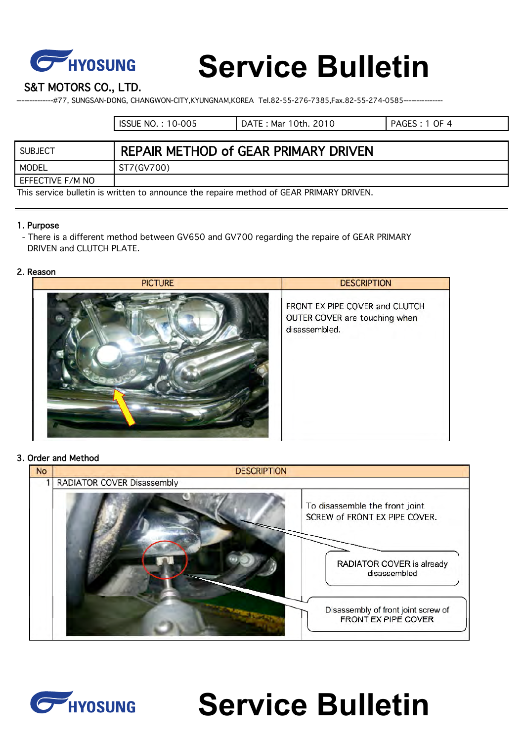

# **Service Bulletin**

S&T MOTORS CO., LTD.

--------------#77, SUNGSAN-DONG, CHANGWON-CITY,KYUNGNAM,KOREA Tel.82-55-276-7385,Fax.82-55-274-0585---------------

|                  | <b>ISSUE NO.: 10-005</b>             | DATE: Mar 10th. 2010 | PAGES: 1 OF 4 |
|------------------|--------------------------------------|----------------------|---------------|
|                  |                                      |                      |               |
| SUBJECT          | REPAIR METHOD of GEAR PRIMARY DRIVEN |                      |               |
| MODEL            | ST7(GV700)                           |                      |               |
| EFFECTIVE F/M NO |                                      |                      |               |

This service bulletin is written to announce the repaire method of GEAR PRIMARY DRIVEN.

#### 1. Purpose

 - There is a different method between GV650 and GV700 regarding the repaire of GEAR PRIMARY DRIVEN and CLUTCH PLATE.

#### 2. Reason



#### 3. Order and Method

| <b>No</b> | <b>DESCRIPTION</b>         |                                                                 |
|-----------|----------------------------|-----------------------------------------------------------------|
|           | RADIATOR COVER Disassembly |                                                                 |
|           |                            | To disassemble the front joint<br>SCREW of FRONT EX PIPE COVER. |
|           |                            | RADIATOR COVER is already<br>disassembled                       |
|           |                            | Disassembly of front joint screw of<br>FRONT EX PIPE COVER      |



# **Service Bulletin**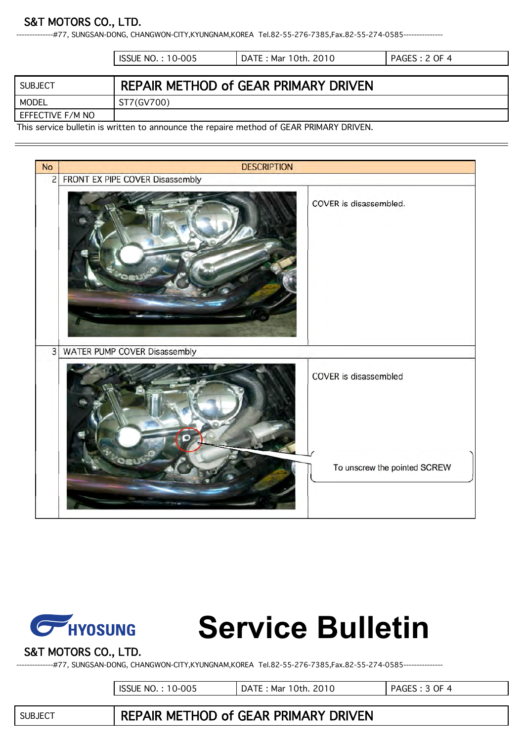

## S&T MOTORS CO., LTD.

--#77, SUNGSAN-DONG, CHANGWON-CITY,KYUNGNAM,KOREA Tel.82-55-276-7385,Fax.82-55-274-0585----------------

|                                                                                        | <b>ISSUE NO.: 10-005</b> | DATE: Mar 10th. 2010                 | PAGES: 2 OF 4 |
|----------------------------------------------------------------------------------------|--------------------------|--------------------------------------|---------------|
|                                                                                        |                          |                                      |               |
| SUBJECT                                                                                |                          | REPAIR METHOD of GEAR PRIMARY DRIVEN |               |
| MODEL                                                                                  | ST7(GV700)               |                                      |               |
| EFFECTIVE F/M NO                                                                       |                          |                                      |               |
| This semice bulletin is written to oppounce the repoint mother of CEAD DDIMADV DDIVENI |                          |                                      |               |

This service bulletin is written to announce the repaire method of GEAR PRIMARY DRIVEN.





# **Service Bulletin**

## S&T MOTORS CO., LTD.

--------------#77, SUNGSAN-DONG, CHANGWON-CITY,KYUNGNAM,KOREA Tel.82-55-276-7385,Fax.82-55-274-0585---------------

ISSUE NO. : 10-005 DATE : Mar 10th. 2010 PAGES : 3 OF 4

SUBJECT REPAIR METHOD of GEAR PRIMARY DRIVEN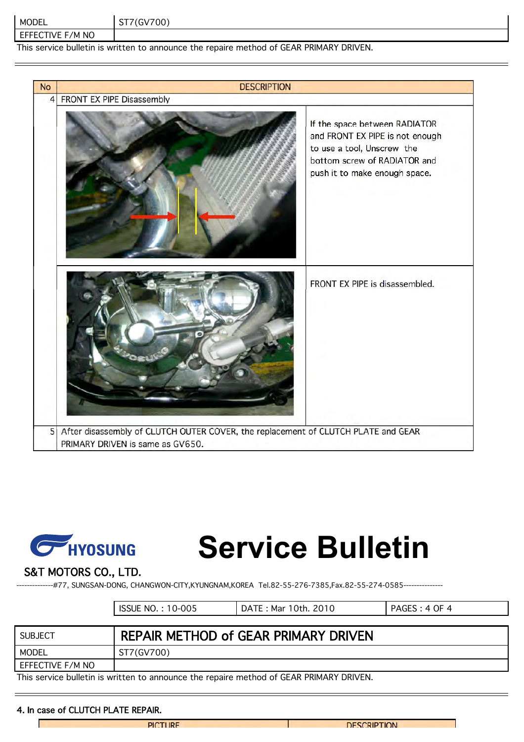| MODEL                                                                                   | ST7(GV700) |  |
|-----------------------------------------------------------------------------------------|------------|--|
| EFFECTIVE F/M NO                                                                        |            |  |
| This service bulletin is written to announce the repaire method of GEAR PRIMARY DRIVEN. |            |  |

| <b>No</b>      | <b>DESCRIPTION</b>                                                                                                    |                                                                                                                                                                 |
|----------------|-----------------------------------------------------------------------------------------------------------------------|-----------------------------------------------------------------------------------------------------------------------------------------------------------------|
| $\overline{4}$ | FRONT EX PIPE Disassembly                                                                                             |                                                                                                                                                                 |
|                |                                                                                                                       | If the space between RADIATOR<br>and FRONT EX PIPE is not enough<br>to use a tool, Unscrew the<br>bottom screw of RADIATOR and<br>push it to make enough space. |
|                |                                                                                                                       | FRONT EX PIPE is disassembled.                                                                                                                                  |
| 5              | After disassembly of CLUTCH OUTER COVER, the replacement of CLUTCH PLATE and GEAR<br>PRIMARY DRIVEN is same as GV650. |                                                                                                                                                                 |



# **Service Bulletin**

### S&T MOTORS CO., LTD.

--------------#77, SUNGSAN-DONG, CHANGWON-CITY,KYUNGNAM,KOREA Tel.82-55-276-7385,Fax.82-55-274-0585---------------

| <b>ISSUE NO.: 10-005</b> | DATE : Mar 10th. 2010 | PAGES: 4 OF 4 |
|--------------------------|-----------------------|---------------|
|                          |                       |               |

| SUBJECT                                                                                 | <b>REPAIR METHOD of GEAR PRIMARY DRIVEN</b> |  |
|-----------------------------------------------------------------------------------------|---------------------------------------------|--|
| MODEL                                                                                   | ST7(GV700)                                  |  |
| EFFECTIVE F/M NO                                                                        |                                             |  |
| This convice bulletin is written to ennounce the repairs method of CEAD DDIMADV DDIMENI |                                             |  |

This service bulletin is written to announce the repaire method of GEAR PRIMARY DRIVEN.

#### 4. In case of CLUTCH PLATE REPAIR.

Г

**PICTURE** 

**DESCRIPTION**